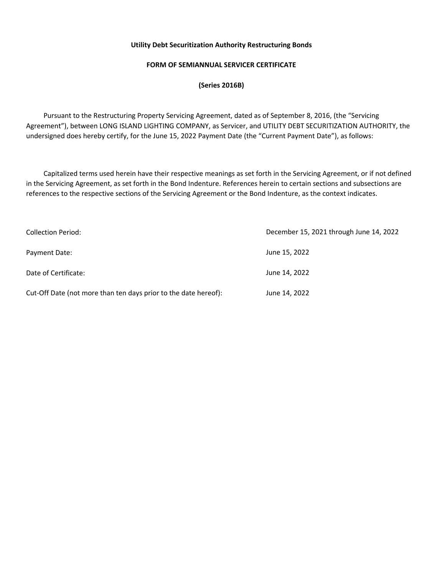## **FORM OF SEMIANNUAL SERVICER CERTIFICATE**

**(Series 2016B)** 

 Pursuant to the Restructuring Property Servicing Agreement, dated as of September 8, 2016, (the "Servicing Agreement"), between LONG ISLAND LIGHTING COMPANY, as Servicer, and UTILITY DEBT SECURITIZATION AUTHORITY, the undersigned does hereby certify, for the June 15, 2022 Payment Date (the "Current Payment Date"), as follows:

 Capitalized terms used herein have their respective meanings as set forth in the Servicing Agreement, or if not defined in the Servicing Agreement, as set forth in the Bond Indenture. References herein to certain sections and subsections are references to the respective sections of the Servicing Agreement or the Bond Indenture, as the context indicates.

| Collection Period:                                              | December 15, 2021 through June 14, 2022 |  |  |
|-----------------------------------------------------------------|-----------------------------------------|--|--|
| Payment Date:                                                   | June 15, 2022                           |  |  |
| Date of Certificate:                                            | June 14, 2022                           |  |  |
| Cut-Off Date (not more than ten days prior to the date hereof): | June 14, 2022                           |  |  |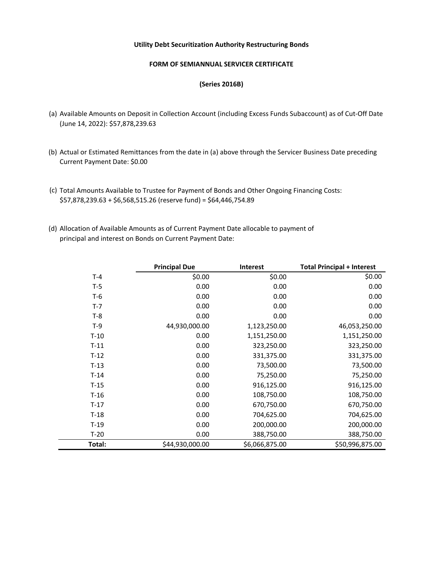## **FORM OF SEMIANNUAL SERVICER CERTIFICATE**

#### **(Series 2016B)**

- (a) Available Amounts on Deposit in Collection Account (including Excess Funds Subaccount) as of Cut-Off Date (June 14, 2022): \$57,878,239.63
- (b) Actual or Estimated Remittances from the date in (a) above through the Servicer Business Date preceding Current Payment Date: \$0.00
- (c) Total Amounts Available to Trustee for Payment of Bonds and Other Ongoing Financing Costs: \$57,878,239.63 + \$6,568,515.26 (reserve fund) = \$64,446,754.89
- (d) Allocation of Available Amounts as of Current Payment Date allocable to payment of principal and interest on Bonds on Current Payment Date:

|        | <b>Principal Due</b> | <b>Interest</b> | <b>Total Principal + Interest</b> |
|--------|----------------------|-----------------|-----------------------------------|
| $T-4$  | \$0.00               | \$0.00          | \$0.00                            |
| $T-5$  | 0.00                 | 0.00            | 0.00                              |
| $T-6$  | 0.00                 | 0.00            | 0.00                              |
| $T-7$  | 0.00                 | 0.00            | 0.00                              |
| $T-8$  | 0.00                 | 0.00            | 0.00                              |
| $T-9$  | 44,930,000.00        | 1,123,250.00    | 46,053,250.00                     |
| $T-10$ | 0.00                 | 1,151,250.00    | 1,151,250.00                      |
| $T-11$ | 0.00                 | 323,250.00      | 323,250.00                        |
| $T-12$ | 0.00                 | 331,375.00      | 331,375.00                        |
| $T-13$ | 0.00                 | 73,500.00       | 73,500.00                         |
| $T-14$ | 0.00                 | 75,250.00       | 75,250.00                         |
| T-15   | 0.00                 | 916,125.00      | 916,125.00                        |
| $T-16$ | 0.00                 | 108,750.00      | 108,750.00                        |
| $T-17$ | 0.00                 | 670,750.00      | 670,750.00                        |
| $T-18$ | 0.00                 | 704,625.00      | 704,625.00                        |
| $T-19$ | 0.00                 | 200,000.00      | 200,000.00                        |
| $T-20$ | 0.00                 | 388,750.00      | 388,750.00                        |
| Total: | \$44,930,000.00      | \$6,066,875.00  | \$50,996,875.00                   |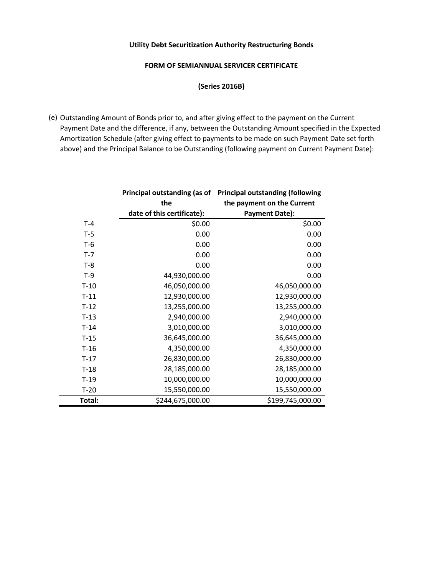## **FORM OF SEMIANNUAL SERVICER CERTIFICATE**

**(Series 2016B)** 

(e) Outstanding Amount of Bonds prior to, and after giving effect to the payment on the Current Payment Date and the difference, if any, between the Outstanding Amount specified in the Expected Amortization Schedule (after giving effect to payments to be made on such Payment Date set forth above) and the Principal Balance to be Outstanding (following payment on Current Payment Date):

|         | Principal outstanding (as of | <b>Principal outstanding (following</b> |  |
|---------|------------------------------|-----------------------------------------|--|
|         | the                          | the payment on the Current              |  |
|         | date of this certificate):   | <b>Payment Date):</b>                   |  |
| $T-4$   | \$0.00                       | \$0.00                                  |  |
| $T-5$   | 0.00                         | 0.00                                    |  |
| $T-6$   | 0.00                         | 0.00                                    |  |
| $T - 7$ | 0.00                         | 0.00                                    |  |
| $T-8$   | 0.00                         | 0.00                                    |  |
| $T-9$   | 44,930,000.00                | 0.00                                    |  |
| $T-10$  | 46,050,000.00                | 46,050,000.00                           |  |
| $T-11$  | 12,930,000.00                | 12,930,000.00                           |  |
| $T-12$  | 13,255,000.00                | 13,255,000.00                           |  |
| $T-13$  | 2,940,000.00                 | 2,940,000.00                            |  |
| $T-14$  | 3,010,000.00                 | 3,010,000.00                            |  |
| $T-15$  | 36,645,000.00                | 36,645,000.00                           |  |
| $T-16$  | 4,350,000.00                 | 4,350,000.00                            |  |
| $T-17$  | 26,830,000.00                | 26,830,000.00                           |  |
| $T-18$  | 28,185,000.00                | 28,185,000.00                           |  |
| $T-19$  | 10,000,000.00                | 10,000,000.00                           |  |
| $T-20$  | 15,550,000.00                | 15,550,000.00                           |  |
| Total:  | \$244,675,000.00             | \$199,745,000.00                        |  |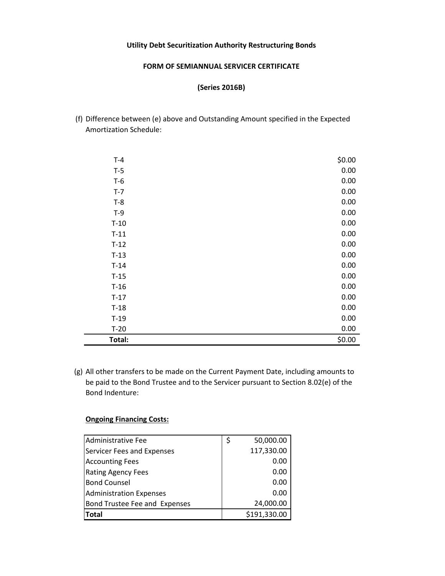### **FORM OF SEMIANNUAL SERVICER CERTIFICATE**

## **(Series 2016B)**

(f) Difference between (e) above and Outstanding Amount specified in the Expected Amortization Schedule:

| $T-4$  | \$0.00 |
|--------|--------|
| $T-5$  | 0.00   |
| $T-6$  | 0.00   |
| $T-7$  | 0.00   |
| $T-8$  | 0.00   |
| $T-9$  | 0.00   |
| $T-10$ | 0.00   |
| $T-11$ | 0.00   |
| $T-12$ | 0.00   |
| $T-13$ | 0.00   |
| $T-14$ | 0.00   |
| $T-15$ | 0.00   |
| $T-16$ | 0.00   |
| $T-17$ | 0.00   |
| $T-18$ | 0.00   |
| $T-19$ | 0.00   |
| $T-20$ | 0.00   |
| Total: | \$0.00 |

(g) All other transfers to be made on the Current Payment Date, including amounts to be paid to the Bond Trustee and to the Servicer pursuant to Section 8.02(e) of the Bond Indenture:

# **Ongoing Financing Costs:**

| Administrative Fee             | \$<br>50,000.00 |
|--------------------------------|-----------------|
| Servicer Fees and Expenses     | 117,330.00      |
| <b>Accounting Fees</b>         | 0.00            |
| <b>Rating Agency Fees</b>      | 0.00            |
| <b>Bond Counsel</b>            | 0.00            |
| <b>Administration Expenses</b> | 0.00            |
| Bond Trustee Fee and Expenses  | 24,000.00       |
| <b>Total</b>                   | \$191,330.00    |
|                                |                 |